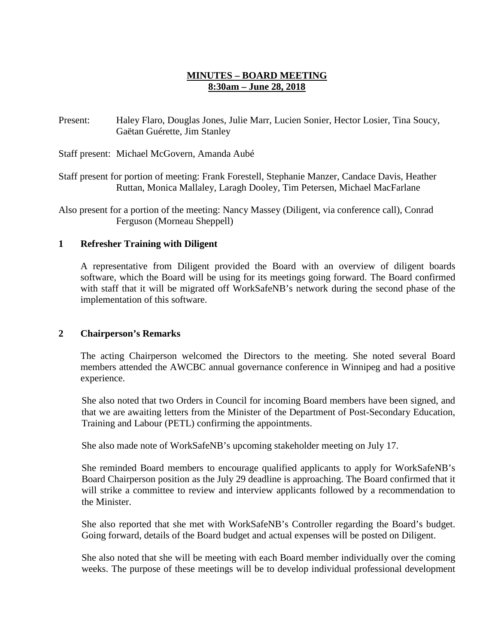# **MINUTES – BOARD MEETING 8:30am – June 28, 2018**

Present: Haley Flaro, Douglas Jones, Julie Marr, Lucien Sonier, Hector Losier, Tina Soucy, Gaëtan Guérette, Jim Stanley

Staff present: Michael McGovern, Amanda Aubé

Staff present for portion of meeting: Frank Forestell, Stephanie Manzer, Candace Davis, Heather Ruttan, Monica Mallaley, Laragh Dooley, Tim Petersen, Michael MacFarlane

Also present for a portion of the meeting: Nancy Massey (Diligent, via conference call), Conrad Ferguson (Morneau Sheppell)

## **1 Refresher Training with Diligent**

A representative from Diligent provided the Board with an overview of diligent boards software, which the Board will be using for its meetings going forward. The Board confirmed with staff that it will be migrated off WorkSafeNB's network during the second phase of the implementation of this software.

## **2 Chairperson's Remarks**

The acting Chairperson welcomed the Directors to the meeting. She noted several Board members attended the AWCBC annual governance conference in Winnipeg and had a positive experience.

She also noted that two Orders in Council for incoming Board members have been signed, and that we are awaiting letters from the Minister of the Department of Post-Secondary Education, Training and Labour (PETL) confirming the appointments.

She also made note of WorkSafeNB's upcoming stakeholder meeting on July 17.

She reminded Board members to encourage qualified applicants to apply for WorkSafeNB's Board Chairperson position as the July 29 deadline is approaching. The Board confirmed that it will strike a committee to review and interview applicants followed by a recommendation to the Minister.

She also reported that she met with WorkSafeNB's Controller regarding the Board's budget. Going forward, details of the Board budget and actual expenses will be posted on Diligent.

She also noted that she will be meeting with each Board member individually over the coming weeks. The purpose of these meetings will be to develop individual professional development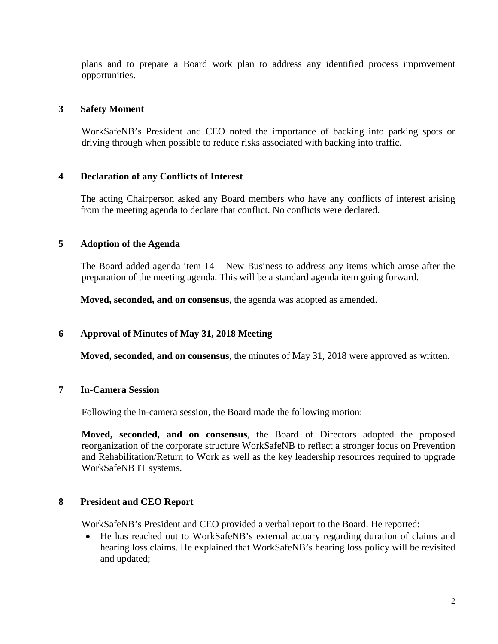plans and to prepare a Board work plan to address any identified process improvement opportunities.

### **3 Safety Moment**

WorkSafeNB's President and CEO noted the importance of backing into parking spots or driving through when possible to reduce risks associated with backing into traffic.

### **4 Declaration of any Conflicts of Interest**

The acting Chairperson asked any Board members who have any conflicts of interest arising from the meeting agenda to declare that conflict. No conflicts were declared.

### **5 Adoption of the Agenda**

The Board added agenda item 14 – New Business to address any items which arose after the preparation of the meeting agenda. This will be a standard agenda item going forward.

**Moved, seconded, and on consensus**, the agenda was adopted as amended.

## **6 Approval of Minutes of May 31, 2018 Meeting**

**Moved, seconded, and on consensus**, the minutes of May 31, 2018 were approved as written.

### **7 In-Camera Session**

Following the in-camera session, the Board made the following motion:

**Moved, seconded, and on consensus**, the Board of Directors adopted the proposed reorganization of the corporate structure WorkSafeNB to reflect a stronger focus on Prevention and Rehabilitation/Return to Work as well as the key leadership resources required to upgrade WorkSafeNB IT systems.

#### **8 President and CEO Report**

WorkSafeNB's President and CEO provided a verbal report to the Board. He reported:

• He has reached out to WorkSafeNB's external actuary regarding duration of claims and hearing loss claims. He explained that WorkSafeNB's hearing loss policy will be revisited and updated;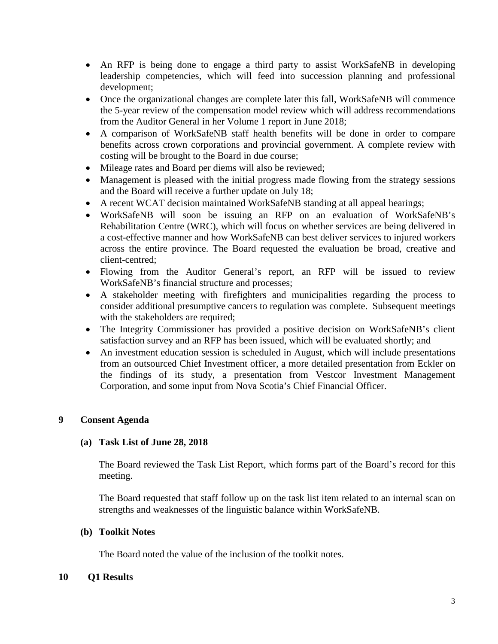- An RFP is being done to engage a third party to assist WorkSafeNB in developing leadership competencies, which will feed into succession planning and professional development;
- Once the organizational changes are complete later this fall, WorkSafeNB will commence the 5-year review of the compensation model review which will address recommendations from the Auditor General in her Volume 1 report in June 2018;
- A comparison of WorkSafeNB staff health benefits will be done in order to compare benefits across crown corporations and provincial government. A complete review with costing will be brought to the Board in due course;
- Mileage rates and Board per diems will also be reviewed;
- Management is pleased with the initial progress made flowing from the strategy sessions and the Board will receive a further update on July 18;
- A recent WCAT decision maintained WorkSafeNB standing at all appeal hearings;
- WorkSafeNB will soon be issuing an RFP on an evaluation of WorkSafeNB's Rehabilitation Centre (WRC), which will focus on whether services are being delivered in a cost-effective manner and how WorkSafeNB can best deliver services to injured workers across the entire province. The Board requested the evaluation be broad, creative and client-centred;
- Flowing from the Auditor General's report, an RFP will be issued to review WorkSafeNB's financial structure and processes;
- A stakeholder meeting with firefighters and municipalities regarding the process to consider additional presumptive cancers to regulation was complete. Subsequent meetings with the stakeholders are required;
- The Integrity Commissioner has provided a positive decision on WorkSafeNB's client satisfaction survey and an RFP has been issued, which will be evaluated shortly; and
- An investment education session is scheduled in August, which will include presentations from an outsourced Chief Investment officer, a more detailed presentation from Eckler on the findings of its study, a presentation from Vestcor Investment Management Corporation, and some input from Nova Scotia's Chief Financial Officer.

## **9 Consent Agenda**

## **(a) Task List of June 28, 2018**

The Board reviewed the Task List Report, which forms part of the Board's record for this meeting.

The Board requested that staff follow up on the task list item related to an internal scan on strengths and weaknesses of the linguistic balance within WorkSafeNB.

#### **(b) Toolkit Notes**

The Board noted the value of the inclusion of the toolkit notes.

#### **10 Q1 Results**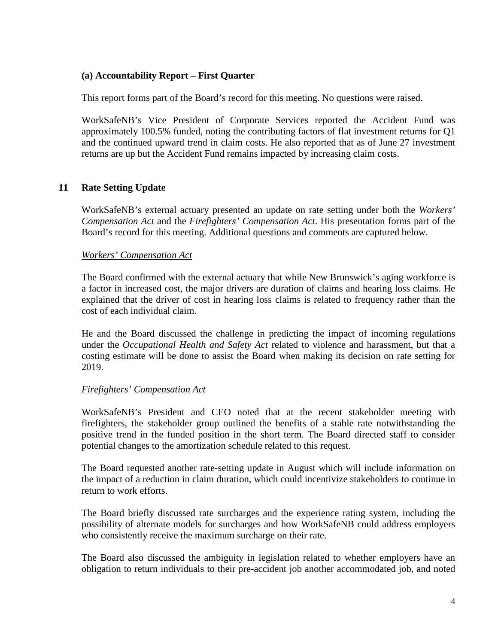## **(a) Accountability Report – First Quarter**

This report forms part of the Board's record for this meeting. No questions were raised.

WorkSafeNB's Vice President of Corporate Services reported the Accident Fund was approximately 100.5% funded, noting the contributing factors of flat investment returns for Q1 and the continued upward trend in claim costs. He also reported that as of June 27 investment returns are up but the Accident Fund remains impacted by increasing claim costs.

# **11 Rate Setting Update**

WorkSafeNB's external actuary presented an update on rate setting under both the *Workers' Compensation Act* and the *Firefighters' Compensation Act*. His presentation forms part of the Board's record for this meeting. Additional questions and comments are captured below.

## *Workers' Compensation Act*

The Board confirmed with the external actuary that while New Brunswick's aging workforce is a factor in increased cost, the major drivers are duration of claims and hearing loss claims. He explained that the driver of cost in hearing loss claims is related to frequency rather than the cost of each individual claim.

He and the Board discussed the challenge in predicting the impact of incoming regulations under the *Occupational Health and Safety Act* related to violence and harassment, but that a costing estimate will be done to assist the Board when making its decision on rate setting for 2019.

## *Firefighters' Compensation Act*

WorkSafeNB's President and CEO noted that at the recent stakeholder meeting with firefighters, the stakeholder group outlined the benefits of a stable rate notwithstanding the positive trend in the funded position in the short term. The Board directed staff to consider potential changes to the amortization schedule related to this request.

The Board requested another rate-setting update in August which will include information on the impact of a reduction in claim duration, which could incentivize stakeholders to continue in return to work efforts.

The Board briefly discussed rate surcharges and the experience rating system, including the possibility of alternate models for surcharges and how WorkSafeNB could address employers who consistently receive the maximum surcharge on their rate.

The Board also discussed the ambiguity in legislation related to whether employers have an obligation to return individuals to their pre-accident job another accommodated job, and noted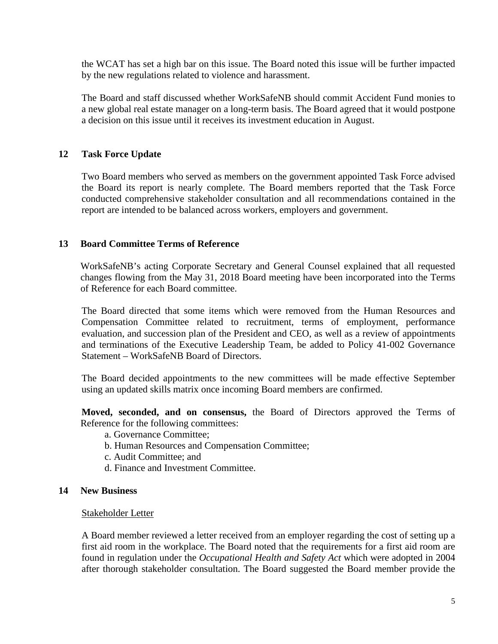the WCAT has set a high bar on this issue. The Board noted this issue will be further impacted by the new regulations related to violence and harassment.

The Board and staff discussed whether WorkSafeNB should commit Accident Fund monies to a new global real estate manager on a long-term basis. The Board agreed that it would postpone a decision on this issue until it receives its investment education in August.

## **12 Task Force Update**

Two Board members who served as members on the government appointed Task Force advised the Board its report is nearly complete. The Board members reported that the Task Force conducted comprehensive stakeholder consultation and all recommendations contained in the report are intended to be balanced across workers, employers and government.

## **13 Board Committee Terms of Reference**

WorkSafeNB's acting Corporate Secretary and General Counsel explained that all requested changes flowing from the May 31, 2018 Board meeting have been incorporated into the Terms of Reference for each Board committee.

The Board directed that some items which were removed from the Human Resources and Compensation Committee related to recruitment, terms of employment, performance evaluation, and succession plan of the President and CEO, as well as a review of appointments and terminations of the Executive Leadership Team, be added to Policy 41-002 Governance Statement – WorkSafeNB Board of Directors.

The Board decided appointments to the new committees will be made effective September using an updated skills matrix once incoming Board members are confirmed.

**Moved, seconded, and on consensus,** the Board of Directors approved the Terms of Reference for the following committees:

- a. Governance Committee;
- b. Human Resources and Compensation Committee;
- c. Audit Committee; and
- d. Finance and Investment Committee.

## **14 New Business**

## Stakeholder Letter

A Board member reviewed a letter received from an employer regarding the cost of setting up a first aid room in the workplace. The Board noted that the requirements for a first aid room are found in regulation under the *Occupational Health and Safety Act* which were adopted in 2004 after thorough stakeholder consultation. The Board suggested the Board member provide the